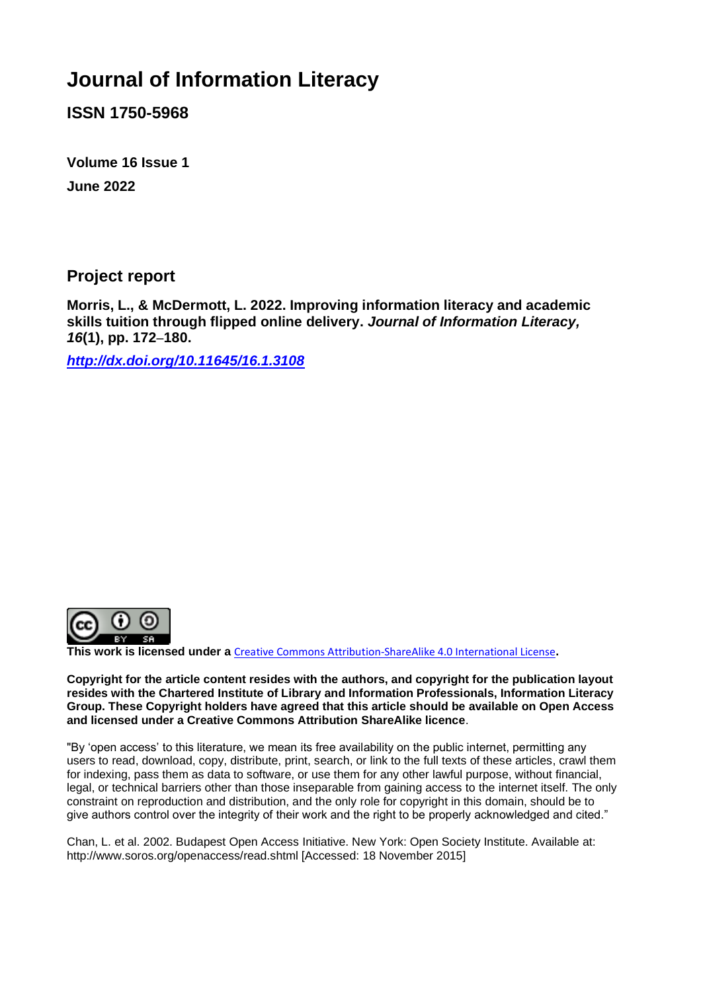# **Journal of Information Literacy**

**ISSN 1750-5968**

**Volume 16 Issue 1 June 2022**

**Project report**

**Morris, L., & McDermott, L. 2022. Improving information literacy and academic skills tuition through flipped online delivery.** *Journal of Information Literacy, 16***(1), pp. 172**–**180.**

*<http://dx.doi.org/10.11645/16.1.3108>*



**This work is licensed under a** [Creative Commons Attribution-ShareAlike 4.0 International License](http://creativecommons.org/licenses/by-sa/4.0/)**.**

**Copyright for the article content resides with the authors, and copyright for the publication layout resides with the Chartered Institute of Library and Information Professionals, Information Literacy Group. These Copyright holders have agreed that this article should be available on Open Access and licensed under a Creative Commons Attribution ShareAlike licence**.

"By 'open access' to this literature, we mean its free availability on the public internet, permitting any users to read, download, copy, distribute, print, search, or link to the full texts of these articles, crawl them for indexing, pass them as data to software, or use them for any other lawful purpose, without financial, legal, or technical barriers other than those inseparable from gaining access to the internet itself. The only constraint on reproduction and distribution, and the only role for copyright in this domain, should be to give authors control over the integrity of their work and the right to be properly acknowledged and cited."

Chan, L. et al. 2002. Budapest Open Access Initiative. New York: Open Society Institute. Available at: http://www.soros.org/openaccess/read.shtml [Accessed: 18 November 2015]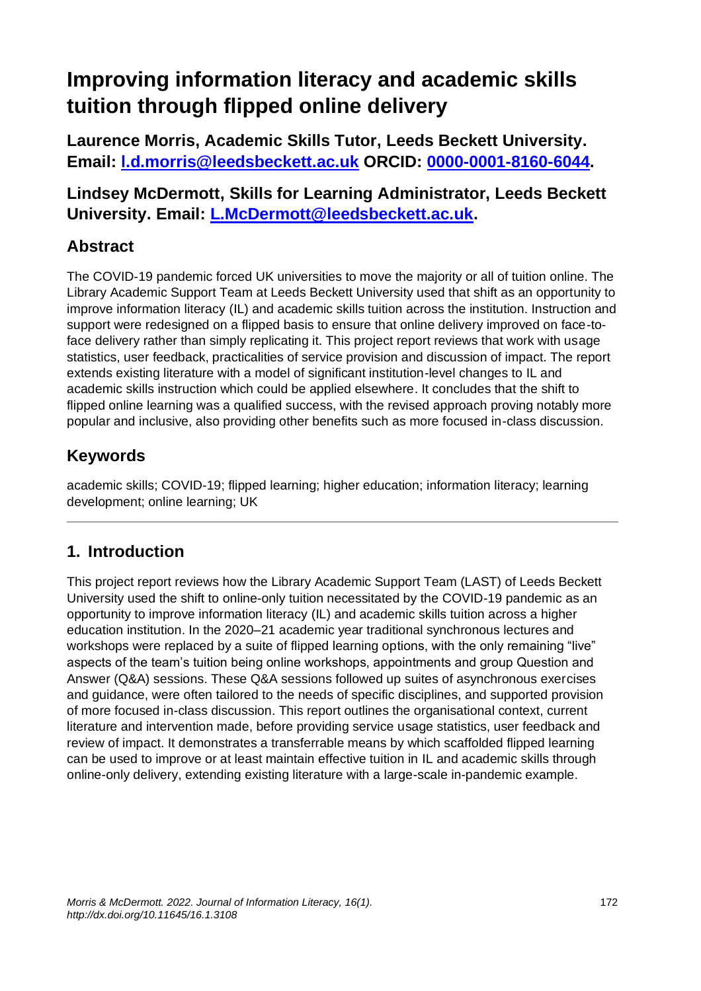# **Improving information literacy and academic skills tuition through flipped online delivery**

**Laurence Morris, Academic Skills Tutor, Leeds Beckett University. Email: [l.d.morris@leedsbeckett.ac.uk](mailto:l.d.morris@leedsbeckett.ac.uk) ORCID: [0000-0001-8160-6044.](https://orcid.org/0000-0001-8160-6044)**

**Lindsey McDermott, Skills for Learning Administrator, Leeds Beckett University. Email: [L.McDermott@leedsbeckett.ac.uk.](mailto:L.McDermott@leedsbeckett.ac.uk)** 

# **Abstract**

The COVID-19 pandemic forced UK universities to move the majority or all of tuition online. The Library Academic Support Team at Leeds Beckett University used that shift as an opportunity to improve information literacy (IL) and academic skills tuition across the institution. Instruction and support were redesigned on a flipped basis to ensure that online delivery improved on face-toface delivery rather than simply replicating it. This project report reviews that work with usage statistics, user feedback, practicalities of service provision and discussion of impact. The report extends existing literature with a model of significant institution-level changes to IL and academic skills instruction which could be applied elsewhere. It concludes that the shift to flipped online learning was a qualified success, with the revised approach proving notably more popular and inclusive, also providing other benefits such as more focused in-class discussion.

# **Keywords**

academic skills; COVID-19; flipped learning; higher education; information literacy; learning development; online learning; UK

# **1. Introduction**

This project report reviews how the Library Academic Support Team (LAST) of Leeds Beckett University used the shift to online-only tuition necessitated by the COVID-19 pandemic as an opportunity to improve information literacy (IL) and academic skills tuition across a higher education institution. In the 2020–21 academic year traditional synchronous lectures and workshops were replaced by a suite of flipped learning options, with the only remaining "live" aspects of the team's tuition being online workshops, appointments and group Question and Answer (Q&A) sessions. These Q&A sessions followed up suites of asynchronous exercises and guidance, were often tailored to the needs of specific disciplines, and supported provision of more focused in-class discussion. This report outlines the organisational context, current literature and intervention made, before providing service usage statistics, user feedback and review of impact. It demonstrates a transferrable means by which scaffolded flipped learning can be used to improve or at least maintain effective tuition in IL and academic skills through online-only delivery, extending existing literature with a large-scale in-pandemic example.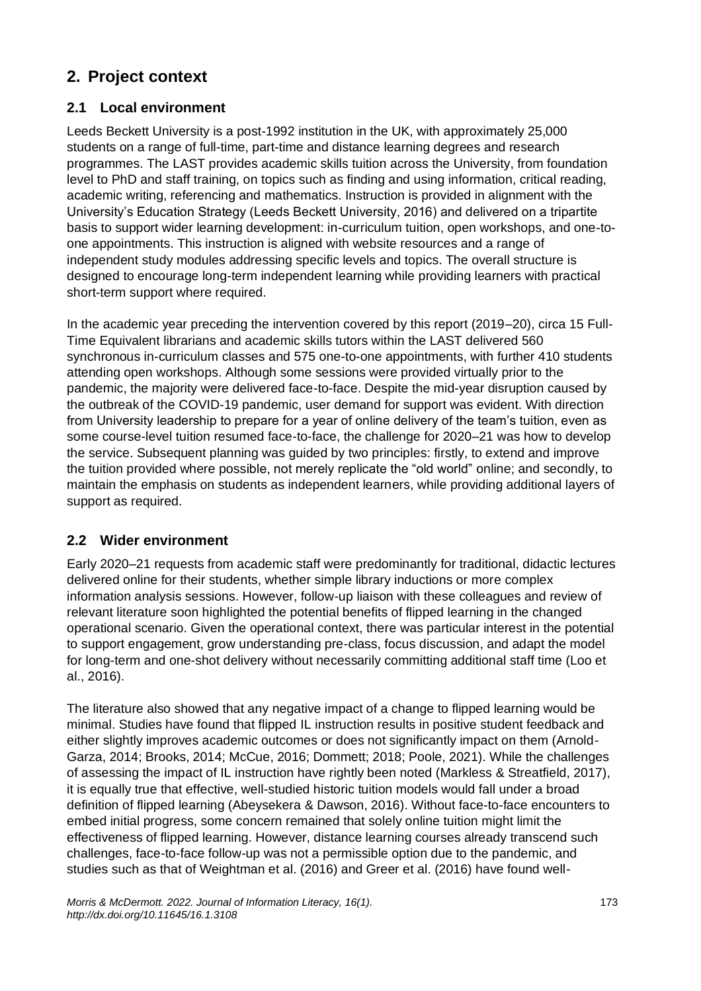# **2. Project context**

### **2.1 Local environment**

Leeds Beckett University is a post-1992 institution in the UK, with approximately 25,000 students on a range of full-time, part-time and distance learning degrees and research programmes. The LAST provides academic skills tuition across the University, from foundation level to PhD and staff training, on topics such as finding and using information, critical reading, academic writing, referencing and mathematics. Instruction is provided in alignment with the University's Education Strategy (Leeds Beckett University, 2016) and delivered on a tripartite basis to support wider learning development: in-curriculum tuition, open workshops, and one-toone appointments. This instruction is aligned with website resources and a range of independent study modules addressing specific levels and topics. The overall structure is designed to encourage long-term independent learning while providing learners with practical short-term support where required.

In the academic year preceding the intervention covered by this report (2019–20), circa 15 Full-Time Equivalent librarians and academic skills tutors within the LAST delivered 560 synchronous in-curriculum classes and 575 one-to-one appointments, with further 410 students attending open workshops. Although some sessions were provided virtually prior to the pandemic, the majority were delivered face-to-face. Despite the mid-year disruption caused by the outbreak of the COVID-19 pandemic, user demand for support was evident. With direction from University leadership to prepare for a year of online delivery of the team's tuition, even as some course-level tuition resumed face-to-face, the challenge for 2020–21 was how to develop the service. Subsequent planning was guided by two principles: firstly, to extend and improve the tuition provided where possible, not merely replicate the "old world" online; and secondly, to maintain the emphasis on students as independent learners, while providing additional layers of support as required.

#### **2.2 Wider environment**

Early 2020–21 requests from academic staff were predominantly for traditional, didactic lectures delivered online for their students, whether simple library inductions or more complex information analysis sessions. However, follow-up liaison with these colleagues and review of relevant literature soon highlighted the potential benefits of flipped learning in the changed operational scenario. Given the operational context, there was particular interest in the potential to support engagement, grow understanding pre-class, focus discussion, and adapt the model for long-term and one-shot delivery without necessarily committing additional staff time (Loo et al., 2016).

The literature also showed that any negative impact of a change to flipped learning would be minimal. Studies have found that flipped IL instruction results in positive student feedback and either slightly improves academic outcomes or does not significantly impact on them (Arnold-Garza, 2014; Brooks, 2014; McCue, 2016; Dommett; 2018; Poole, 2021). While the challenges of assessing the impact of IL instruction have rightly been noted (Markless & Streatfield, 2017), it is equally true that effective, well-studied historic tuition models would fall under a broad definition of flipped learning (Abeysekera & Dawson, 2016). Without face-to-face encounters to embed initial progress, some concern remained that solely online tuition might limit the effectiveness of flipped learning. However, distance learning courses already transcend such challenges, face-to-face follow-up was not a permissible option due to the pandemic, and studies such as that of Weightman et al. (2016) and Greer et al. (2016) have found well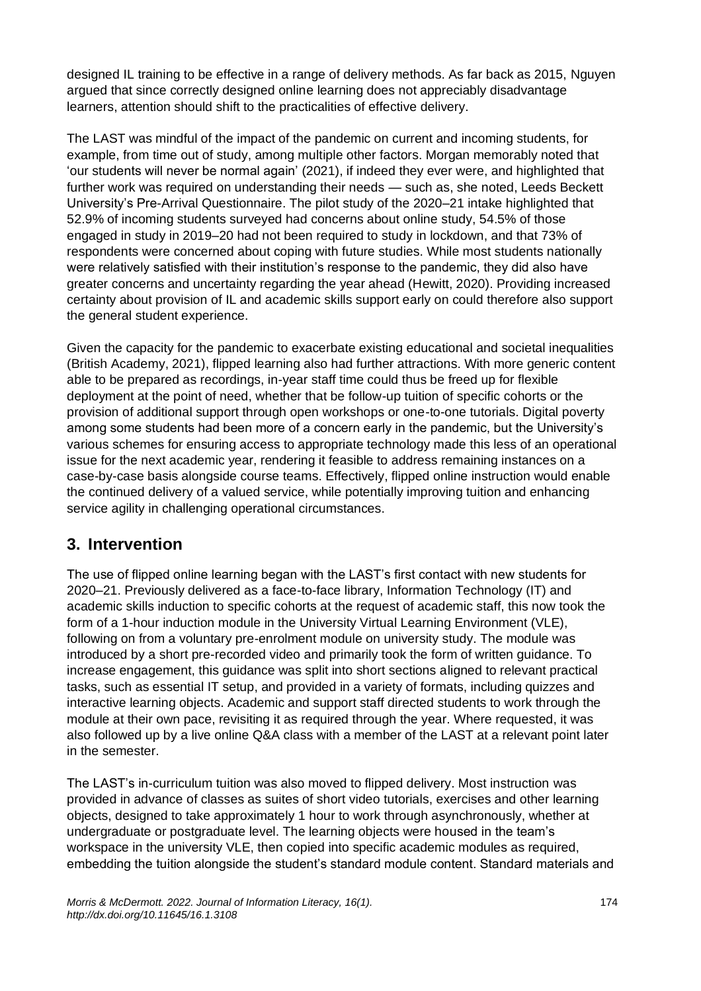designed IL training to be effective in a range of delivery methods. As far back as 2015, Nguyen argued that since correctly designed online learning does not appreciably disadvantage learners, attention should shift to the practicalities of effective delivery.

The LAST was mindful of the impact of the pandemic on current and incoming students, for example, from time out of study, among multiple other factors. Morgan memorably noted that 'our students will never be normal again' (2021), if indeed they ever were, and highlighted that further work was required on understanding their needs — such as, she noted, Leeds Beckett University's Pre-Arrival Questionnaire. The pilot study of the 2020–21 intake highlighted that 52.9% of incoming students surveyed had concerns about online study, 54.5% of those engaged in study in 2019–20 had not been required to study in lockdown, and that 73% of respondents were concerned about coping with future studies. While most students nationally were relatively satisfied with their institution's response to the pandemic, they did also have greater concerns and uncertainty regarding the year ahead (Hewitt, 2020). Providing increased certainty about provision of IL and academic skills support early on could therefore also support the general student experience.

Given the capacity for the pandemic to exacerbate existing educational and societal inequalities (British Academy, 2021), flipped learning also had further attractions. With more generic content able to be prepared as recordings, in-year staff time could thus be freed up for flexible deployment at the point of need, whether that be follow-up tuition of specific cohorts or the provision of additional support through open workshops or one-to-one tutorials. Digital poverty among some students had been more of a concern early in the pandemic, but the University's various schemes for ensuring access to appropriate technology made this less of an operational issue for the next academic year, rendering it feasible to address remaining instances on a case-by-case basis alongside course teams. Effectively, flipped online instruction would enable the continued delivery of a valued service, while potentially improving tuition and enhancing service agility in challenging operational circumstances.

## **3. Intervention**

The use of flipped online learning began with the LAST's first contact with new students for 2020–21. Previously delivered as a face-to-face library, Information Technology (IT) and academic skills induction to specific cohorts at the request of academic staff, this now took the form of a 1-hour induction module in the University Virtual Learning Environment (VLE), following on from a voluntary pre-enrolment module on university study. The module was introduced by a short pre-recorded video and primarily took the form of written guidance. To increase engagement, this guidance was split into short sections aligned to relevant practical tasks, such as essential IT setup, and provided in a variety of formats, including quizzes and interactive learning objects. Academic and support staff directed students to work through the module at their own pace, revisiting it as required through the year. Where requested, it was also followed up by a live online Q&A class with a member of the LAST at a relevant point later in the semester.

The LAST's in-curriculum tuition was also moved to flipped delivery. Most instruction was provided in advance of classes as suites of short video tutorials, exercises and other learning objects, designed to take approximately 1 hour to work through asynchronously, whether at undergraduate or postgraduate level. The learning objects were housed in the team's workspace in the university VLE, then copied into specific academic modules as required, embedding the tuition alongside the student's standard module content. Standard materials and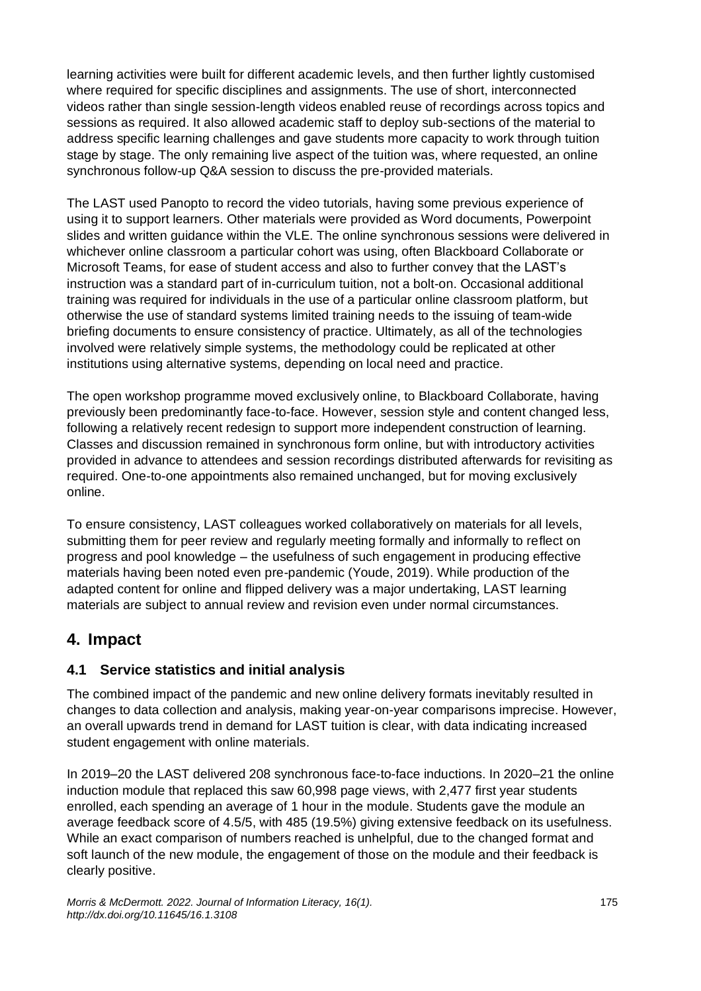learning activities were built for different academic levels, and then further lightly customised where required for specific disciplines and assignments. The use of short, interconnected videos rather than single session-length videos enabled reuse of recordings across topics and sessions as required. It also allowed academic staff to deploy sub-sections of the material to address specific learning challenges and gave students more capacity to work through tuition stage by stage. The only remaining live aspect of the tuition was, where requested, an online synchronous follow-up Q&A session to discuss the pre-provided materials.

The LAST used Panopto to record the video tutorials, having some previous experience of using it to support learners. Other materials were provided as Word documents, Powerpoint slides and written guidance within the VLE. The online synchronous sessions were delivered in whichever online classroom a particular cohort was using, often Blackboard Collaborate or Microsoft Teams, for ease of student access and also to further convey that the LAST's instruction was a standard part of in-curriculum tuition, not a bolt-on. Occasional additional training was required for individuals in the use of a particular online classroom platform, but otherwise the use of standard systems limited training needs to the issuing of team-wide briefing documents to ensure consistency of practice. Ultimately, as all of the technologies involved were relatively simple systems, the methodology could be replicated at other institutions using alternative systems, depending on local need and practice.

The open workshop programme moved exclusively online, to Blackboard Collaborate, having previously been predominantly face-to-face. However, session style and content changed less, following a relatively recent redesign to support more independent construction of learning. Classes and discussion remained in synchronous form online, but with introductory activities provided in advance to attendees and session recordings distributed afterwards for revisiting as required. One-to-one appointments also remained unchanged, but for moving exclusively online.

To ensure consistency, LAST colleagues worked collaboratively on materials for all levels, submitting them for peer review and regularly meeting formally and informally to reflect on progress and pool knowledge – the usefulness of such engagement in producing effective materials having been noted even pre-pandemic (Youde, 2019). While production of the adapted content for online and flipped delivery was a major undertaking, LAST learning materials are subject to annual review and revision even under normal circumstances.

# **4. Impact**

#### **4.1 Service statistics and initial analysis**

The combined impact of the pandemic and new online delivery formats inevitably resulted in changes to data collection and analysis, making year-on-year comparisons imprecise. However, an overall upwards trend in demand for LAST tuition is clear, with data indicating increased student engagement with online materials.

In 2019–20 the LAST delivered 208 synchronous face-to-face inductions. In 2020–21 the online induction module that replaced this saw 60,998 page views, with 2,477 first year students enrolled, each spending an average of 1 hour in the module. Students gave the module an average feedback score of 4.5/5, with 485 (19.5%) giving extensive feedback on its usefulness. While an exact comparison of numbers reached is unhelpful, due to the changed format and soft launch of the new module, the engagement of those on the module and their feedback is clearly positive.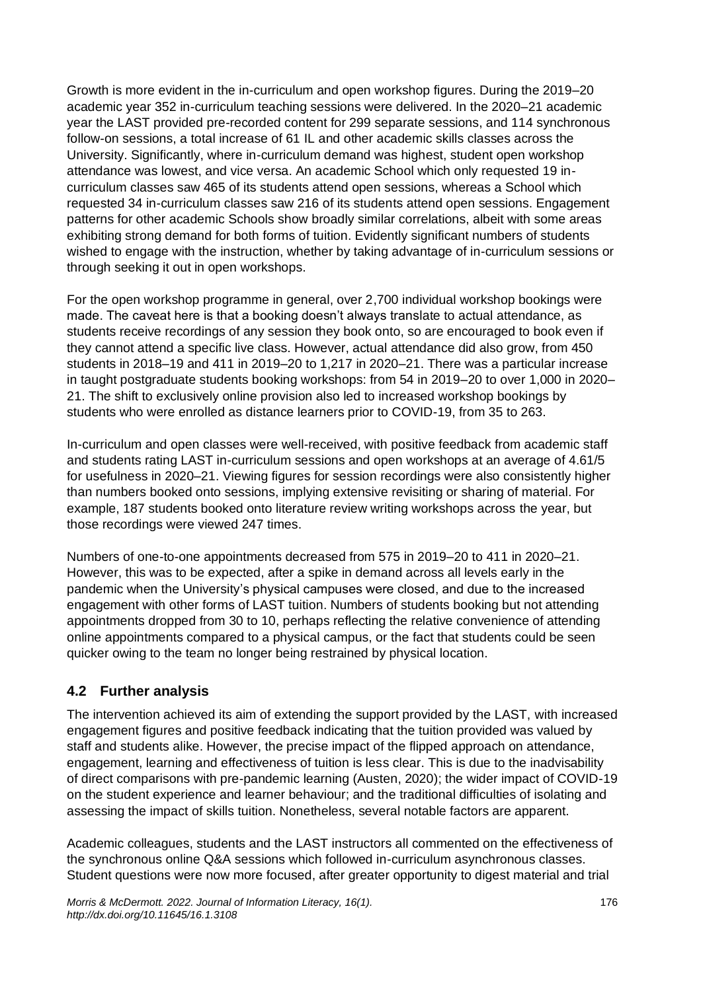Growth is more evident in the in-curriculum and open workshop figures. During the 2019–20 academic year 352 in-curriculum teaching sessions were delivered. In the 2020–21 academic year the LAST provided pre-recorded content for 299 separate sessions, and 114 synchronous follow-on sessions, a total increase of 61 IL and other academic skills classes across the University. Significantly, where in-curriculum demand was highest, student open workshop attendance was lowest, and vice versa. An academic School which only requested 19 incurriculum classes saw 465 of its students attend open sessions, whereas a School which requested 34 in-curriculum classes saw 216 of its students attend open sessions. Engagement patterns for other academic Schools show broadly similar correlations, albeit with some areas exhibiting strong demand for both forms of tuition. Evidently significant numbers of students wished to engage with the instruction, whether by taking advantage of in-curriculum sessions or through seeking it out in open workshops.

For the open workshop programme in general, over 2,700 individual workshop bookings were made. The caveat here is that a booking doesn't always translate to actual attendance, as students receive recordings of any session they book onto, so are encouraged to book even if they cannot attend a specific live class. However, actual attendance did also grow, from 450 students in 2018–19 and 411 in 2019–20 to 1,217 in 2020–21. There was a particular increase in taught postgraduate students booking workshops: from 54 in 2019–20 to over 1,000 in 2020– 21. The shift to exclusively online provision also led to increased workshop bookings by students who were enrolled as distance learners prior to COVID-19, from 35 to 263.

In-curriculum and open classes were well-received, with positive feedback from academic staff and students rating LAST in-curriculum sessions and open workshops at an average of 4.61/5 for usefulness in 2020–21. Viewing figures for session recordings were also consistently higher than numbers booked onto sessions, implying extensive revisiting or sharing of material. For example, 187 students booked onto literature review writing workshops across the year, but those recordings were viewed 247 times.

Numbers of one-to-one appointments decreased from 575 in 2019–20 to 411 in 2020–21. However, this was to be expected, after a spike in demand across all levels early in the pandemic when the University's physical campuses were closed, and due to the increased engagement with other forms of LAST tuition. Numbers of students booking but not attending appointments dropped from 30 to 10, perhaps reflecting the relative convenience of attending online appointments compared to a physical campus, or the fact that students could be seen quicker owing to the team no longer being restrained by physical location.

#### **4.2 Further analysis**

The intervention achieved its aim of extending the support provided by the LAST, with increased engagement figures and positive feedback indicating that the tuition provided was valued by staff and students alike. However, the precise impact of the flipped approach on attendance, engagement, learning and effectiveness of tuition is less clear. This is due to the inadvisability of direct comparisons with pre-pandemic learning (Austen, 2020); the wider impact of COVID-19 on the student experience and learner behaviour; and the traditional difficulties of isolating and assessing the impact of skills tuition. Nonetheless, several notable factors are apparent.

Academic colleagues, students and the LAST instructors all commented on the effectiveness of the synchronous online Q&A sessions which followed in-curriculum asynchronous classes. Student questions were now more focused, after greater opportunity to digest material and trial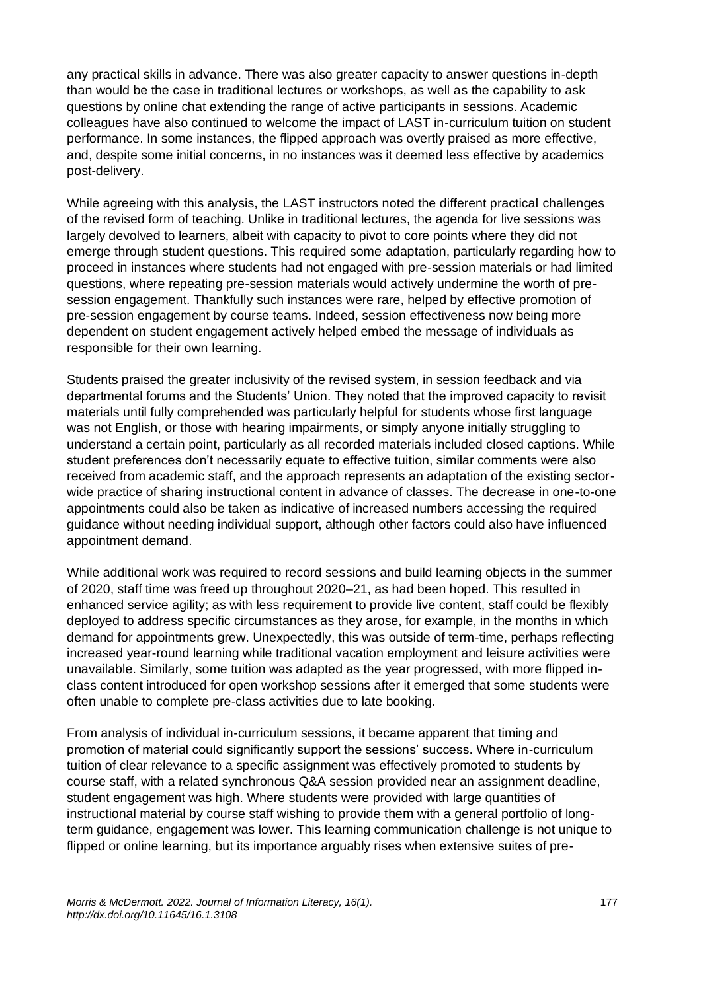any practical skills in advance. There was also greater capacity to answer questions in-depth than would be the case in traditional lectures or workshops, as well as the capability to ask questions by online chat extending the range of active participants in sessions. Academic colleagues have also continued to welcome the impact of LAST in-curriculum tuition on student performance. In some instances, the flipped approach was overtly praised as more effective, and, despite some initial concerns, in no instances was it deemed less effective by academics post-delivery.

While agreeing with this analysis, the LAST instructors noted the different practical challenges of the revised form of teaching. Unlike in traditional lectures, the agenda for live sessions was largely devolved to learners, albeit with capacity to pivot to core points where they did not emerge through student questions. This required some adaptation, particularly regarding how to proceed in instances where students had not engaged with pre-session materials or had limited questions, where repeating pre-session materials would actively undermine the worth of presession engagement. Thankfully such instances were rare, helped by effective promotion of pre-session engagement by course teams. Indeed, session effectiveness now being more dependent on student engagement actively helped embed the message of individuals as responsible for their own learning.

Students praised the greater inclusivity of the revised system, in session feedback and via departmental forums and the Students' Union. They noted that the improved capacity to revisit materials until fully comprehended was particularly helpful for students whose first language was not English, or those with hearing impairments, or simply anyone initially struggling to understand a certain point, particularly as all recorded materials included closed captions. While student preferences don't necessarily equate to effective tuition, similar comments were also received from academic staff, and the approach represents an adaptation of the existing sectorwide practice of sharing instructional content in advance of classes. The decrease in one-to-one appointments could also be taken as indicative of increased numbers accessing the required guidance without needing individual support, although other factors could also have influenced appointment demand.

While additional work was required to record sessions and build learning objects in the summer of 2020, staff time was freed up throughout 2020–21, as had been hoped. This resulted in enhanced service agility; as with less requirement to provide live content, staff could be flexibly deployed to address specific circumstances as they arose, for example, in the months in which demand for appointments grew. Unexpectedly, this was outside of term-time, perhaps reflecting increased year-round learning while traditional vacation employment and leisure activities were unavailable. Similarly, some tuition was adapted as the year progressed, with more flipped inclass content introduced for open workshop sessions after it emerged that some students were often unable to complete pre-class activities due to late booking.

From analysis of individual in-curriculum sessions, it became apparent that timing and promotion of material could significantly support the sessions' success. Where in-curriculum tuition of clear relevance to a specific assignment was effectively promoted to students by course staff, with a related synchronous Q&A session provided near an assignment deadline, student engagement was high. Where students were provided with large quantities of instructional material by course staff wishing to provide them with a general portfolio of longterm guidance, engagement was lower. This learning communication challenge is not unique to flipped or online learning, but its importance arguably rises when extensive suites of pre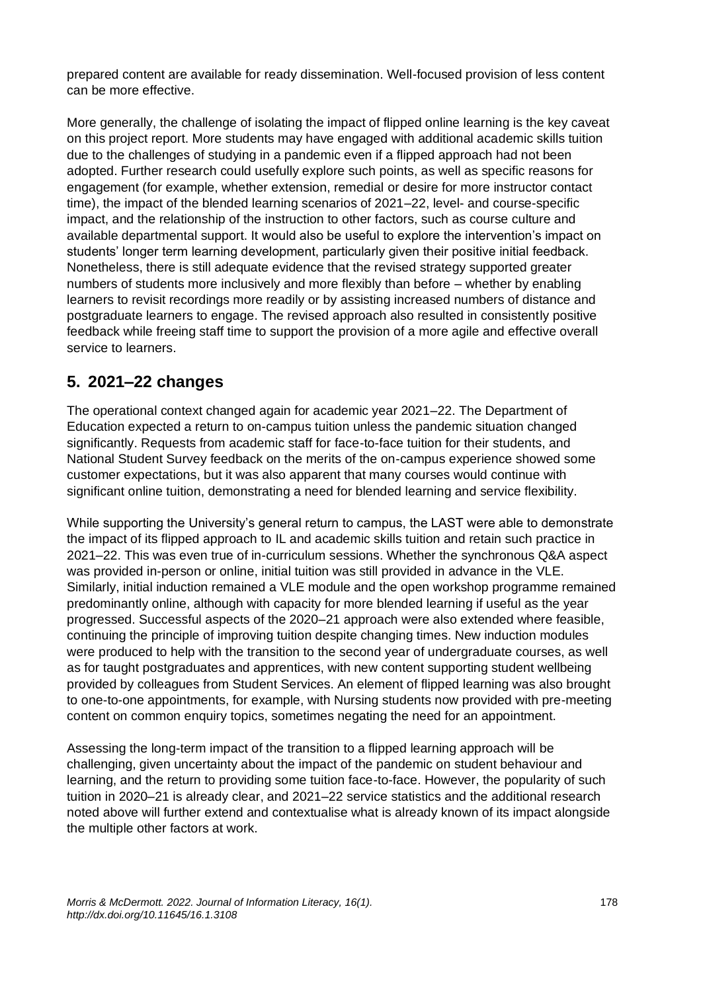prepared content are available for ready dissemination. Well-focused provision of less content can be more effective.

More generally, the challenge of isolating the impact of flipped online learning is the key caveat on this project report. More students may have engaged with additional academic skills tuition due to the challenges of studying in a pandemic even if a flipped approach had not been adopted. Further research could usefully explore such points, as well as specific reasons for engagement (for example, whether extension, remedial or desire for more instructor contact time), the impact of the blended learning scenarios of 2021–22, level- and course-specific impact, and the relationship of the instruction to other factors, such as course culture and available departmental support. It would also be useful to explore the intervention's impact on students' longer term learning development, particularly given their positive initial feedback. Nonetheless, there is still adequate evidence that the revised strategy supported greater numbers of students more inclusively and more flexibly than before – whether by enabling learners to revisit recordings more readily or by assisting increased numbers of distance and postgraduate learners to engage. The revised approach also resulted in consistently positive feedback while freeing staff time to support the provision of a more agile and effective overall service to learners.

## **5. 2021–22 changes**

The operational context changed again for academic year 2021–22. The Department of Education expected a return to on-campus tuition unless the pandemic situation changed significantly. Requests from academic staff for face-to-face tuition for their students, and National Student Survey feedback on the merits of the on-campus experience showed some customer expectations, but it was also apparent that many courses would continue with significant online tuition, demonstrating a need for blended learning and service flexibility.

While supporting the University's general return to campus, the LAST were able to demonstrate the impact of its flipped approach to IL and academic skills tuition and retain such practice in 2021–22. This was even true of in-curriculum sessions. Whether the synchronous Q&A aspect was provided in-person or online, initial tuition was still provided in advance in the VLE. Similarly, initial induction remained a VLE module and the open workshop programme remained predominantly online, although with capacity for more blended learning if useful as the year progressed. Successful aspects of the 2020–21 approach were also extended where feasible, continuing the principle of improving tuition despite changing times. New induction modules were produced to help with the transition to the second year of undergraduate courses, as well as for taught postgraduates and apprentices, with new content supporting student wellbeing provided by colleagues from Student Services. An element of flipped learning was also brought to one-to-one appointments, for example, with Nursing students now provided with pre-meeting content on common enquiry topics, sometimes negating the need for an appointment.

Assessing the long-term impact of the transition to a flipped learning approach will be challenging, given uncertainty about the impact of the pandemic on student behaviour and learning, and the return to providing some tuition face-to-face. However, the popularity of such tuition in 2020–21 is already clear, and 2021–22 service statistics and the additional research noted above will further extend and contextualise what is already known of its impact alongside the multiple other factors at work.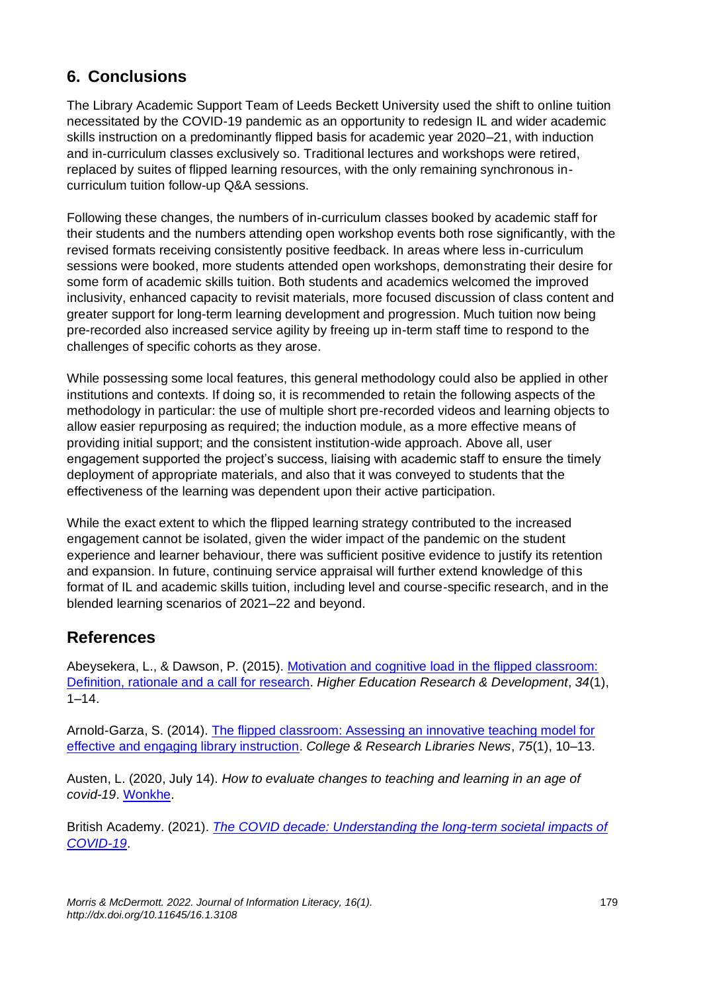# **6. Conclusions**

The Library Academic Support Team of Leeds Beckett University used the shift to online tuition necessitated by the COVID-19 pandemic as an opportunity to redesign IL and wider academic skills instruction on a predominantly flipped basis for academic year 2020–21, with induction and in-curriculum classes exclusively so. Traditional lectures and workshops were retired, replaced by suites of flipped learning resources, with the only remaining synchronous incurriculum tuition follow-up Q&A sessions.

Following these changes, the numbers of in-curriculum classes booked by academic staff for their students and the numbers attending open workshop events both rose significantly, with the revised formats receiving consistently positive feedback. In areas where less in-curriculum sessions were booked, more students attended open workshops, demonstrating their desire for some form of academic skills tuition. Both students and academics welcomed the improved inclusivity, enhanced capacity to revisit materials, more focused discussion of class content and greater support for long-term learning development and progression. Much tuition now being pre-recorded also increased service agility by freeing up in-term staff time to respond to the challenges of specific cohorts as they arose.

While possessing some local features, this general methodology could also be applied in other institutions and contexts. If doing so, it is recommended to retain the following aspects of the methodology in particular: the use of multiple short pre-recorded videos and learning objects to allow easier repurposing as required; the induction module, as a more effective means of providing initial support; and the consistent institution-wide approach. Above all, user engagement supported the project's success, liaising with academic staff to ensure the timely deployment of appropriate materials, and also that it was conveyed to students that the effectiveness of the learning was dependent upon their active participation.

While the exact extent to which the flipped learning strategy contributed to the increased engagement cannot be isolated, given the wider impact of the pandemic on the student experience and learner behaviour, there was sufficient positive evidence to justify its retention and expansion. In future, continuing service appraisal will further extend knowledge of this format of IL and academic skills tuition, including level and course-specific research, and in the blended learning scenarios of 2021–22 and beyond.

## **References**

Abeysekera, L., & Dawson, P. (2015). [Motivation and cognitive load in the flipped classroom:](https://doi.org/gfsnwg)  [Definition, rationale and a call for research.](https://doi.org/gfsnwg) *Higher Education Research & Development*, *34*(1),  $1 - 14.$ 

Arnold-Garza, S. (2014). [The flipped classroom: Assessing an innovative teaching model for](https://doi.org/gj779g)  [effective and engaging library instruction.](https://doi.org/gj779g) *College & Research Libraries News*, *75*(1), 10–13.

Austen, L. (2020, July 14). *How to evaluate changes to teaching and learning in an age of covid-19*. [Wonkhe.](https://wonkhe.com/blogs/how-to-evaluate-changes-to-teaching-and-learning-in-an-age-of-covid-19/)

British Academy. (2021). *[The COVID decade: Understanding the long-term societal impacts of](https://doi.org/gqft)  [COVID-19](https://doi.org/gqft)*.